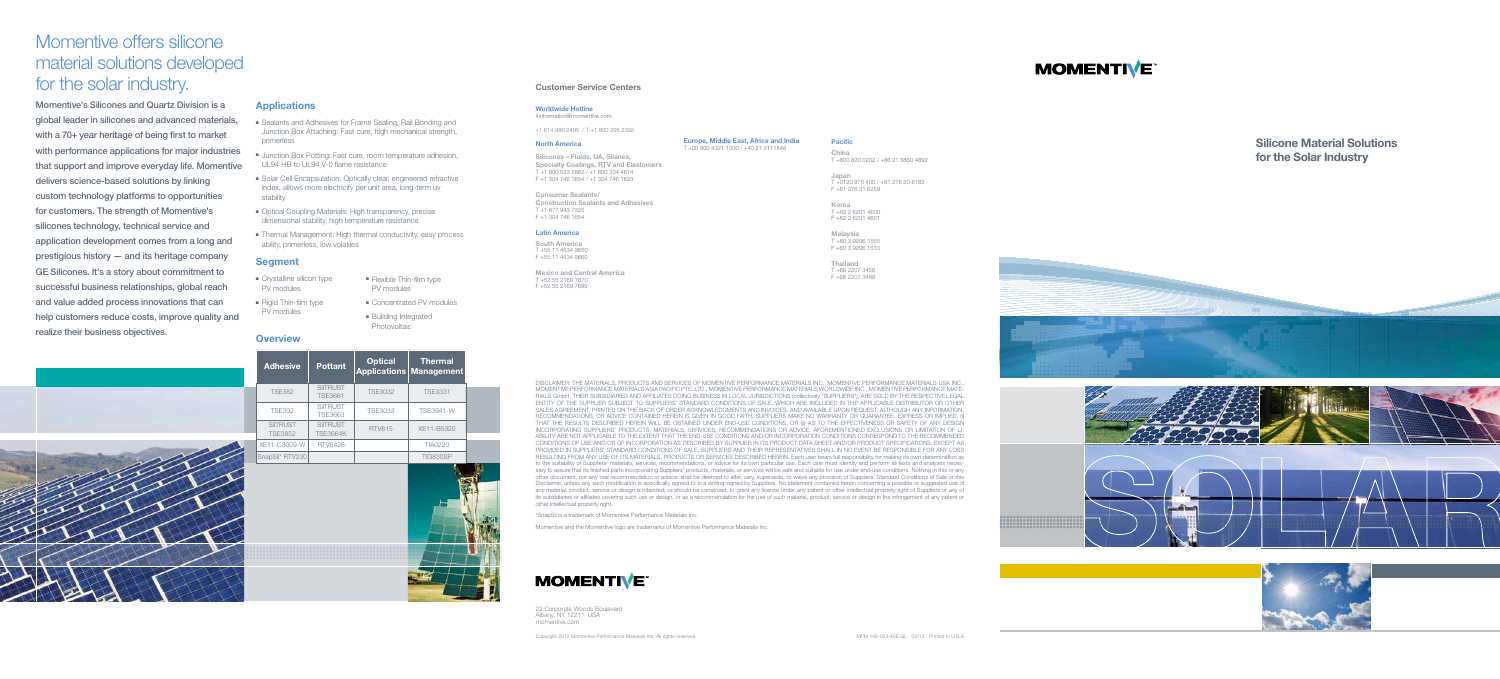Silicone Material Solutions for the Solar Industry







- Sealants and Adhesives for Frame Sealing, Rail Bonding and Junction Box Attaching: Fast cure, high mechanical strength, primerless
- Junction Box Potting: Fast cure, room temperature adhesion, UL94 HB to UL94 V-0 flame resistance
- Solar Cell Encapsulation: Optically clear, engineered refractive index, allows more electricity per unit area, long-term uv stability
- Optical Coupling Materials: High transparency, precise dimensional stability, high temperature resistance
- Thermal Management: High thermal conductivity, easy process ability, primerless, low volatiles

| <b>Adhesive</b>                   | <b>Pottant</b>                     | <b>Optical</b><br><b>Applications</b> | <b>Thermal</b><br><b>Management</b> |
|-----------------------------------|------------------------------------|---------------------------------------|-------------------------------------|
| <b>TSE382</b>                     | <b>SilTRUST</b><br><b>TSE3661</b>  | <b>TSE3032</b>                        | <b>TSE3331</b>                      |
| <b>TSE392</b>                     | <b>SilTRUST</b><br><b>TSE3663</b>  | TSE3033                               | <b>TSE3941-W</b>                    |
| <b>SilTRUST</b><br><b>TSE3852</b> | <b>SilTRUST</b><br><b>TSE3664K</b> | <b>RTV615</b>                         | XE11-B5320                          |
| XE11-C3009-W                      | <b>RTV6428</b>                     |                                       | <b>TIA0220</b>                      |
| SnapSil* RTV230                   |                                    |                                       | <b>TIG830SP</b>                     |



- Crystalline silicon type PV modules
- Rigid Thin-film type
- Flexible Thin-film type PV modules

# Momentive offers silicone material solutions developed for the solar industry.

South America T +55 11 4534 9650 F +55 11 4534 9660

Momentive's Silicones and Quartz Division is a global leader in silicones and advanced materials, with a 70+ year heritage of being first to market with performance applications for major industries that support and improve everyday life. Momentive delivers science-based solutions by linking custom technology platforms to opportunities for customers. The strength of Momentive's silicones technology, technical service and application development comes from a long and prestigious history — and its heritage company GE Silicones. It's a story about commitment to successful business relationships, global reach and value added process innovations that can help customers reduce costs, improve quality and realize their business objectives.



#### **Applications**

**Japan**<br>T +0120 975 400 / +81 276 20 6182 F +81 276 31 6259

**Korea**<br>T +82 2 6201 4600 F +82 2 6201 4601

#### Segment

PV modules

Photovoltaic

■ Concentrated PV modules ■ Building Integrated

### **Overview**

22 Corporate Woods Boulevard Albany, NY 12211 USA momentive.com

#### Customer Service Centers

#### Worldwide Hotline 4information@momentive.com

+1 614 986 2495 / T +1 800 295 2392

#### North America

Silicones – Fluids, UA, Silanes, Specialty Coatings, RTV and Elastomers T +1 800 523 5862 / +1 800 334 4674 F +1 304 746 1654 / +1 304 746 1623

Consumer Sealants/ Construction Sealants and Adhesives T +1 877 943 7325 F +1 304 746 1654

#### Latin America

Mexico and Central America T +52 55 2169 7670 F +52 55 2169 7699

Europe, Middle East, Africa and India T +00 800 4321 1000 / +40 21 3111848

Copyright 2012 Momentive Performance Materials Inc. All rights reserved. MPM 142-003-40E-GL 04/12 Printed in U.S.A.

# **MOMENTIVE**

### Pacific

China T +800 820 0202 / +86 21 3860 4892

Malaysia T +60 3 9206 1555 F +60 3 9206 1533

Thailand T +66 2207 3456 F +66 2207 3488

DISCLAIMER: THE MATERIALS, PRODUCTS AND SERVICES OF MOMENTIVE PERFORMANCE MATERIALS INC., MOMENTIVE PERFORMANCE MATERIALS USA INC., MOMENTIVE PERFORMANCE MATERIALS ASIA PACIFIC PTE. LTD., MOMENTIVE PERFORMANCE MATERIALS WORLDWIDE INC., MOMENTIVE PERFORMANCE MATE-RIALS GmbH, THEIR SUBSIDIARIES AND AFFILIATES DOING BUSINESS IN LOCAL JURISDICTIONS (collectively "SUPPLIERS"), ARE SOLD BY THE RESPECTIVE LEGAL ENTITY OF THE SUPPLIER SUBJECT TO SUPPLIERS' STANDARD CONDITIONS OF SALE, WHICH ARE INCLUDED IN THE APPLICABLE DISTRIBUTOR OR OTHER SALES AGREEMENT, PRINTED ON THE BACK OF ORDER ACKNOWLEDGMENTS AND INVOICES, AND AVAILABLE UPON REQUEST. ALTHOUGH ANY INFORMATION, RECOMMENDATIONS, OR ADVICE CONTAINED HEREIN IS GIVEN IN GOOD FAITH, SUPPLIERS MAKE NO WARRANTY OR GUARANTEE, EXPRESS OR IMPLIED, (i) THAT THE RESULTS DESCRIBED HEREIN WILL BE OBTAINED UNDER END-USE CONDITIONS, OR (ii) AS TO THE EFFECTIVENESS OR SAFETY OF ANY DESIGN INCORPORATING SUPPLIERS' PRODUCTS, MATERIALS, SERVICES, RECOMMENDATIONS OR ADVICE. AFOREMENTIONED EXCLUSIONS OR LIMITATION OF LI-ABILITY ARE NOT APPLICABLE TO THE EXTENT THAT THE END-USE CONDITIONS AND/OR INCORPORATION CONDITIONS CORRESPOND TO THE RECOMMENDED CONDITIONS OF USE AND/OR OF INCORPORATION AS DESCRIBED BY SUPPLIER IN ITS PRODUCT DATA SHEET AND/OR PRODUCT SPECIFICATIONS. EXCEPT AS PROVIDED IN SUPPLIERS' STANDARD CONDITIONS OF SALE, SUPPLIERS AND THEIR REPRESENTATIVES SHALL IN NO EVENT BE RESPONSIBLE FOR ANY LOSS RESULTING FROM ANY USE OF ITS MATERIALS, PRODUCTS OR SERVICES DESCRIBED HEREIN. Each user bears full responsibility for making its own determination as to the suitability of Suppliers' materials, services, recommendations, or advice for its own particular use. Each user must identify and perform all tests and analyses necessary to assure that its finished parts incorporating Suppliers' products, materials, or services will be safe and suitable for use under end-use conditions. Nothing in this or any other document, nor any oral recommendation or advice, shall be deemed to alter, vary, supersede, or waive any provision of Suppliers' Standard Conditions of Sale or this Disclaimer, unless any such modification is specifically agreed to in a writing signed by Suppliers. No statement contained herein concerning a possible or suggested use of any material, product, service or design is intended, or should be construed, to grant any license under any patent or other intellectual property right of Suppliers or any of its subsidiaries or affiliates covering such use or design, or as a recommendation for the use of such material, product, service or design in the infringement of any patent or other intellectual property right.

\*SnapSil is a trademark of Momentive Performance Materials Inc.

Momentive and the Momentive logo are trademarks of Momentive Performance Materials Inc.

# **MOMENTIVE**